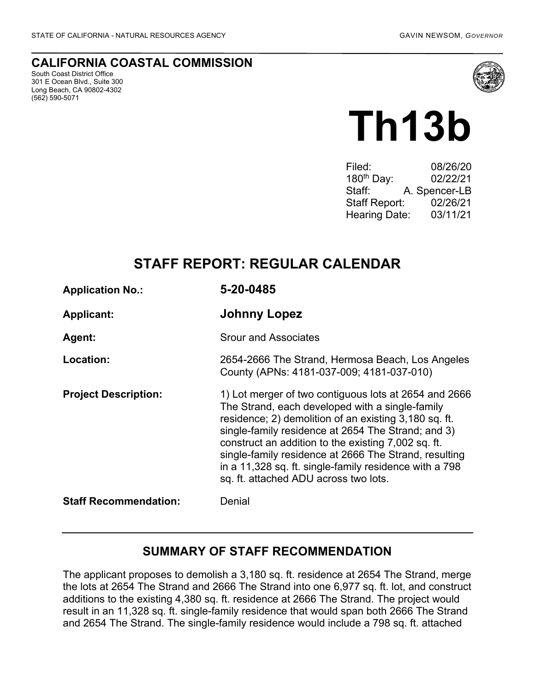#### **CALIFORNIA COASTAL COMMISSION**

South Coast District Office 301 E Ocean Blvd., Suite 300 Long Beach, CA 90802-4302 (562) 590-5071



# **Th13b**

| Filed:                 | 08/26/20      |
|------------------------|---------------|
| 180 <sup>th</sup> Day: | 02/22/21      |
| Staff:                 | A. Spencer-LB |
| <b>Staff Report:</b>   | 02/26/21      |
| <b>Hearing Date:</b>   | 03/11/21      |
|                        |               |

## **STAFF REPORT: REGULAR CALENDAR**

| <b>Application No.:</b>      | 5-20-0485                                                                                                                                                                                                                                                                                                                                                                                                                                  |
|------------------------------|--------------------------------------------------------------------------------------------------------------------------------------------------------------------------------------------------------------------------------------------------------------------------------------------------------------------------------------------------------------------------------------------------------------------------------------------|
| <b>Applicant:</b>            | <b>Johnny Lopez</b>                                                                                                                                                                                                                                                                                                                                                                                                                        |
| <b>Agent:</b>                | <b>Srour and Associates</b>                                                                                                                                                                                                                                                                                                                                                                                                                |
| Location:                    | 2654-2666 The Strand, Hermosa Beach, Los Angeles<br>County (APNs: 4181-037-009; 4181-037-010)                                                                                                                                                                                                                                                                                                                                              |
| <b>Project Description:</b>  | 1) Lot merger of two contiguous lots at 2654 and 2666<br>The Strand, each developed with a single-family<br>residence; 2) demolition of an existing 3,180 sq. ft.<br>single-family residence at 2654 The Strand; and 3)<br>construct an addition to the existing 7,002 sq. ft.<br>single-family residence at 2666 The Strand, resulting<br>in a 11,328 sq. ft. single-family residence with a 798<br>sq. ft. attached ADU across two lots. |
| <b>Staff Recommendation:</b> | Denial                                                                                                                                                                                                                                                                                                                                                                                                                                     |

## **SUMMARY OF STAFF RECOMMENDATION**

The applicant proposes to demolish a 3,180 sq. ft. residence at 2654 The Strand, merge the lots at 2654 The Strand and 2666 The Strand into one 6,977 sq. ft. lot, and construct additions to the existing 4,380 sq. ft. residence at 2666 The Strand. The project would result in an 11,328 sq. ft. single-family residence that would span both 2666 The Strand and 2654 The Strand. The single-family residence would include a 798 sq. ft. attached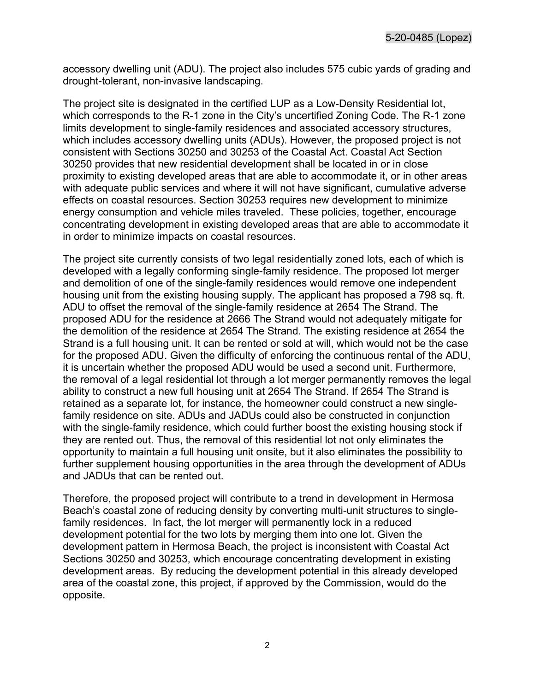accessory dwelling unit (ADU). The project also includes 575 cubic yards of grading and drought-tolerant, non-invasive landscaping.

The project site is designated in the certified LUP as a Low-Density Residential lot, which corresponds to the R-1 zone in the City's uncertified Zoning Code. The R-1 zone limits development to single-family residences and associated accessory structures, which includes accessory dwelling units (ADUs). However, the proposed project is not consistent with Sections 30250 and 30253 of the Coastal Act. Coastal Act Section 30250 provides that new residential development shall be located in or in close proximity to existing developed areas that are able to accommodate it, or in other areas with adequate public services and where it will not have significant, cumulative adverse effects on coastal resources. Section 30253 requires new development to minimize energy consumption and vehicle miles traveled. These policies, together, encourage concentrating development in existing developed areas that are able to accommodate it in order to minimize impacts on coastal resources.

The project site currently consists of two legal residentially zoned lots, each of which is developed with a legally conforming single-family residence. The proposed lot merger and demolition of one of the single-family residences would remove one independent housing unit from the existing housing supply. The applicant has proposed a 798 sq. ft. ADU to offset the removal of the single-family residence at 2654 The Strand. The proposed ADU for the residence at 2666 The Strand would not adequately mitigate for the demolition of the residence at 2654 The Strand. The existing residence at 2654 the Strand is a full housing unit. It can be rented or sold at will, which would not be the case for the proposed ADU. Given the difficulty of enforcing the continuous rental of the ADU, it is uncertain whether the proposed ADU would be used a second unit. Furthermore, the removal of a legal residential lot through a lot merger permanently removes the legal ability to construct a new full housing unit at 2654 The Strand. If 2654 The Strand is retained as a separate lot, for instance, the homeowner could construct a new singlefamily residence on site. ADUs and JADUs could also be constructed in conjunction with the single-family residence, which could further boost the existing housing stock if they are rented out. Thus, the removal of this residential lot not only eliminates the opportunity to maintain a full housing unit onsite, but it also eliminates the possibility to further supplement housing opportunities in the area through the development of ADUs and JADUs that can be rented out.

Therefore, the proposed project will contribute to a trend in development in Hermosa Beach's coastal zone of reducing density by converting multi-unit structures to singlefamily residences. In fact, the lot merger will permanently lock in a reduced development potential for the two lots by merging them into one lot. Given the development pattern in Hermosa Beach, the project is inconsistent with Coastal Act Sections 30250 and 30253, which encourage concentrating development in existing development areas. By reducing the development potential in this already developed area of the coastal zone, this project, if approved by the Commission, would do the opposite.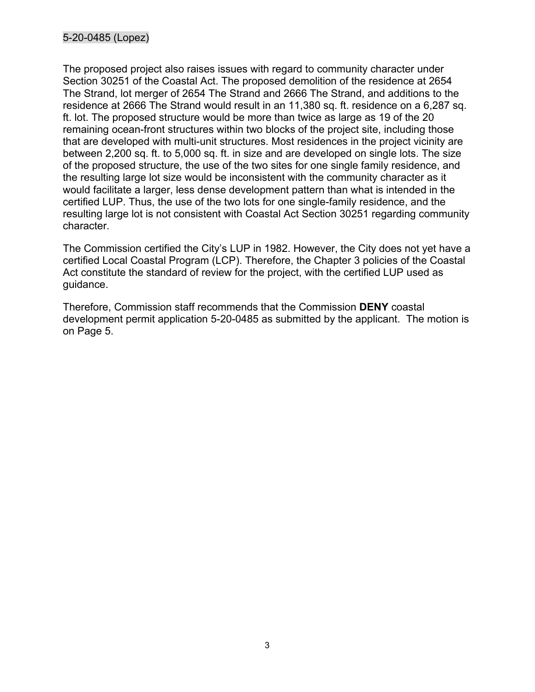The proposed project also raises issues with regard to community character under Section 30251 of the Coastal Act. The proposed demolition of the residence at 2654 The Strand, lot merger of 2654 The Strand and 2666 The Strand, and additions to the residence at 2666 The Strand would result in an 11,380 sq. ft. residence on a 6,287 sq. ft. lot. The proposed structure would be more than twice as large as 19 of the 20 remaining ocean-front structures within two blocks of the project site, including those that are developed with multi-unit structures. Most residences in the project vicinity are between 2,200 sq. ft. to 5,000 sq. ft. in size and are developed on single lots. The size of the proposed structure, the use of the two sites for one single family residence, and the resulting large lot size would be inconsistent with the community character as it would facilitate a larger, less dense development pattern than what is intended in the certified LUP. Thus, the use of the two lots for one single-family residence, and the resulting large lot is not consistent with Coastal Act Section 30251 regarding community character.

The Commission certified the City's LUP in 1982. However, the City does not yet have a certified Local Coastal Program (LCP). Therefore, the Chapter 3 policies of the Coastal Act constitute the standard of review for the project, with the certified LUP used as guidance.

Therefore, Commission staff recommends that the Commission **DENY** coastal development permit application 5-20-0485 as submitted by the applicant. The motion is on Page 5.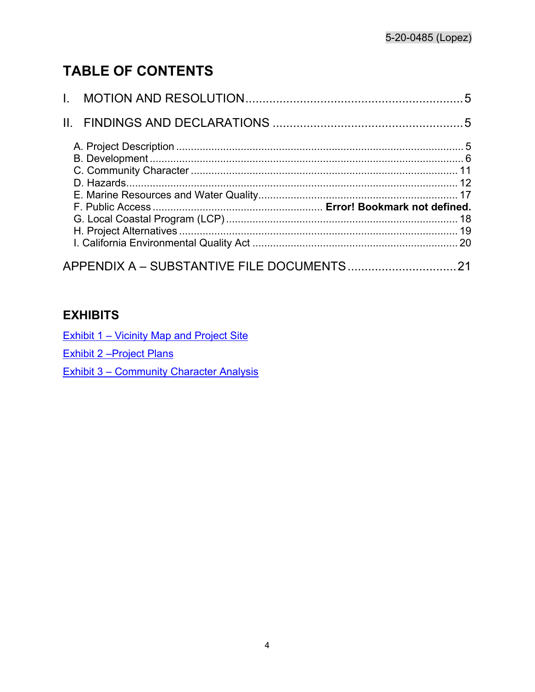# **TABLE OF CONTENTS**

## **EXHIBITS**

**Exhibit 1 – [Vicinity Map and Project Site](https://documents.coastal.ca.gov/reports/2021/3/Th13b/Th13b-3-2021-exhibits.pdf)** 

Exhibit [2 –Project Plans](https://documents.coastal.ca.gov/reports/2021/3/Th13b/Th13b-3-2021-exhibits.pdf) 

Exhibit 3 – [Community Character Analysis](https://documents.coastal.ca.gov/reports/2021/3/Th13b/Th13b-3-2021-exhibits.pdf)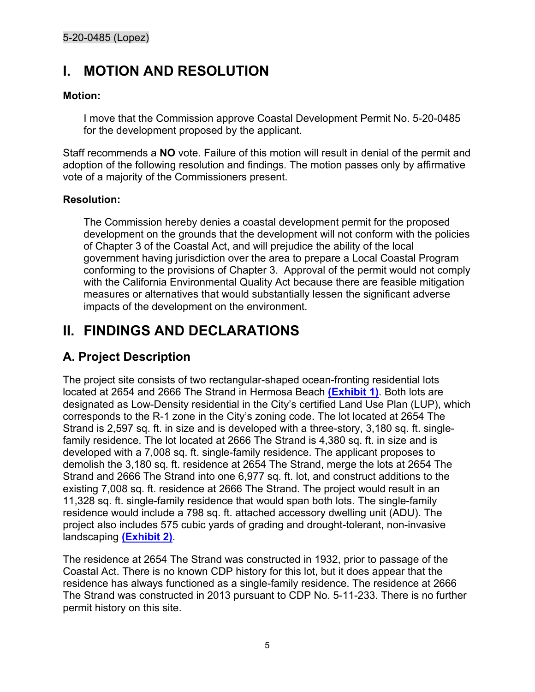# <span id="page-4-0"></span>**I. MOTION AND RESOLUTION**

#### **Motion:**

I move that the Commission approve Coastal Development Permit No. 5-20-0485 for the development proposed by the applicant.

Staff recommends a **NO** vote. Failure of this motion will result in denial of the permit and adoption of the following resolution and findings. The motion passes only by affirmative vote of a majority of the Commissioners present.

#### **Resolution:**

The Commission hereby denies a coastal development permit for the proposed development on the grounds that the development will not conform with the policies of Chapter 3 of the Coastal Act, and will prejudice the ability of the local government having jurisdiction over the area to prepare a Local Coastal Program conforming to the provisions of Chapter 3. Approval of the permit would not comply with the California Environmental Quality Act because there are feasible mitigation measures or alternatives that would substantially lessen the significant adverse impacts of the development on the environment.

# <span id="page-4-1"></span>**II. FINDINGS AND DECLARATIONS**

## <span id="page-4-2"></span>**A. Project Description**

The project site consists of two rectangular-shaped ocean-fronting residential lots located at 2654 and 2666 The Strand in Hermosa Beach **[\(Exhibit 1\)](https://documents.coastal.ca.gov/reports/2021/3/Th13b/Th13b-3-2021-exhibits.pdf)**. Both lots are designated as Low-Density residential in the City's certified Land Use Plan (LUP), which corresponds to the R-1 zone in the City's zoning code. The lot located at 2654 The Strand is 2,597 sq. ft. in size and is developed with a three-story, 3,180 sq. ft. singlefamily residence. The lot located at 2666 The Strand is 4,380 sq. ft. in size and is developed with a 7,008 sq. ft. single-family residence. The applicant proposes to demolish the 3,180 sq. ft. residence at 2654 The Strand, merge the lots at 2654 The Strand and 2666 The Strand into one 6,977 sq. ft. lot, and construct additions to the existing 7,008 sq. ft. residence at 2666 The Strand. The project would result in an 11,328 sq. ft. single-family residence that would span both lots. The single-family residence would include a 798 sq. ft. attached accessory dwelling unit (ADU). The project also includes 575 cubic yards of grading and drought-tolerant, non-invasive landscaping **[\(Exhibit 2\)](https://documents.coastal.ca.gov/reports/2021/3/Th13b/Th13b-3-2021-exhibits.pdf)**.

The residence at 2654 The Strand was constructed in 1932, prior to passage of the Coastal Act. There is no known CDP history for this lot, but it does appear that the residence has always functioned as a single-family residence. The residence at 2666 The Strand was constructed in 2013 pursuant to CDP No. 5-11-233. There is no further permit history on this site.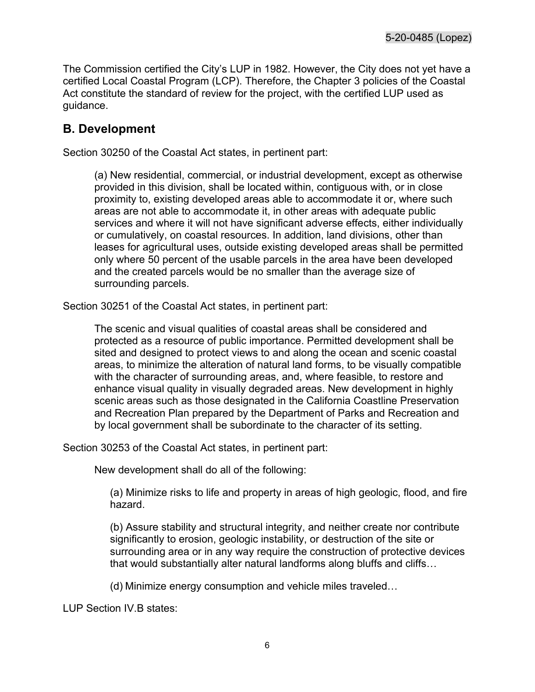The Commission certified the City's LUP in 1982. However, the City does not yet have a certified Local Coastal Program (LCP). Therefore, the Chapter 3 policies of the Coastal Act constitute the standard of review for the project, with the certified LUP used as guidance.

## <span id="page-5-0"></span>**B. Development**

Section 30250 of the Coastal Act states, in pertinent part:

(a) New residential, commercial, or industrial development, except as otherwise provided in this division, shall be located within, contiguous with, or in close proximity to, existing developed areas able to accommodate it or, where such areas are not able to accommodate it, in other areas with adequate public services and where it will not have significant adverse effects, either individually or cumulatively, on coastal resources. In addition, land divisions, other than leases for agricultural uses, outside existing developed areas shall be permitted only where 50 percent of the usable parcels in the area have been developed and the created parcels would be no smaller than the average size of surrounding parcels.

Section 30251 of the Coastal Act states, in pertinent part:

The scenic and visual qualities of coastal areas shall be considered and protected as a resource of public importance. Permitted development shall be sited and designed to protect views to and along the ocean and scenic coastal areas, to minimize the alteration of natural land forms, to be visually compatible with the character of surrounding areas, and, where feasible, to restore and enhance visual quality in visually degraded areas. New development in highly scenic areas such as those designated in the California Coastline Preservation and Recreation Plan prepared by the Department of Parks and Recreation and by local government shall be subordinate to the character of its setting.

Section 30253 of the Coastal Act states, in pertinent part:

New development shall do all of the following:

(a) Minimize risks to life and property in areas of high geologic, flood, and fire hazard.

(b) Assure stability and structural integrity, and neither create nor contribute significantly to erosion, geologic instability, or destruction of the site or surrounding area or in any way require the construction of protective devices that would substantially alter natural landforms along bluffs and cliffs...

(d) Minimize energy consumption and vehicle miles traveled…

LUP Section IV.B states: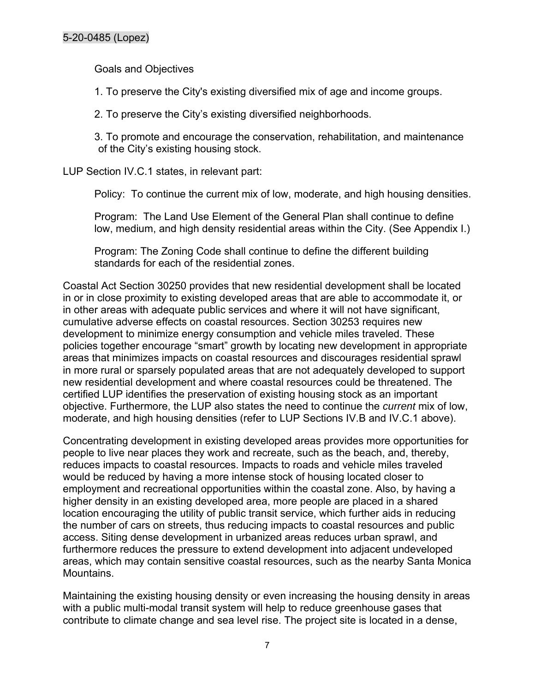Goals and Objectives

1. To preserve the City's existing diversified mix of age and income groups.

2. To preserve the City's existing diversified neighborhoods.

3. To promote and encourage the conservation, rehabilitation, and maintenance of the City's existing housing stock.

LUP Section IV.C.1 states, in relevant part:

Policy: To continue the current mix of low, moderate, and high housing densities.

Program: The Land Use Element of the General Plan shall continue to define low, medium, and high density residential areas within the City. (See Appendix I.)

Program: The Zoning Code shall continue to define the different building standards for each of the residential zones.

Coastal Act Section 30250 provides that new residential development shall be located in or in close proximity to existing developed areas that are able to accommodate it, or in other areas with adequate public services and where it will not have significant, cumulative adverse effects on coastal resources. Section 30253 requires new development to minimize energy consumption and vehicle miles traveled. These policies together encourage "smart" growth by locating new development in appropriate areas that minimizes impacts on coastal resources and discourages residential sprawl in more rural or sparsely populated areas that are not adequately developed to support new residential development and where coastal resources could be threatened. The certified LUP identifies the preservation of existing housing stock as an important objective. Furthermore, the LUP also states the need to continue the *current* mix of low, moderate, and high housing densities (refer to LUP Sections IV.B and IV.C.1 above).

Concentrating development in existing developed areas provides more opportunities for people to live near places they work and recreate, such as the beach, and, thereby, reduces impacts to coastal resources. Impacts to roads and vehicle miles traveled would be reduced by having a more intense stock of housing located closer to employment and recreational opportunities within the coastal zone. Also, by having a higher density in an existing developed area, more people are placed in a shared location encouraging the utility of public transit service, which further aids in reducing the number of cars on streets, thus reducing impacts to coastal resources and public access. Siting dense development in urbanized areas reduces urban sprawl, and furthermore reduces the pressure to extend development into adjacent undeveloped areas, which may contain sensitive coastal resources, such as the nearby Santa Monica Mountains.

Maintaining the existing housing density or even increasing the housing density in areas with a public multi-modal transit system will help to reduce greenhouse gases that contribute to climate change and sea level rise. The project site is located in a dense,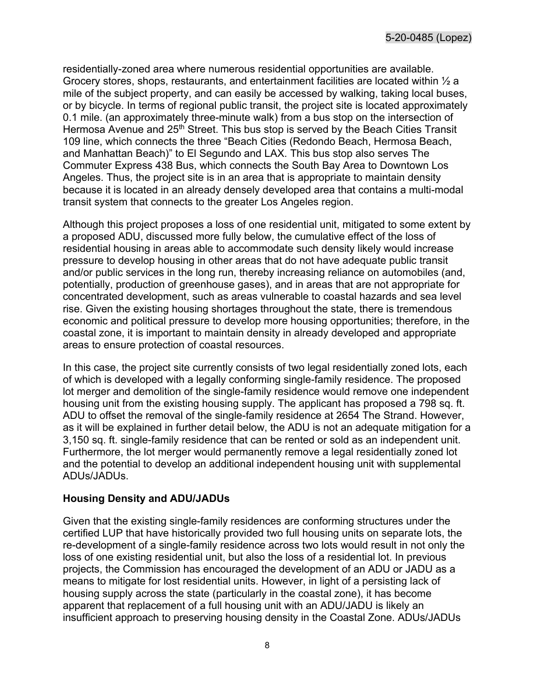residentially-zoned area where numerous residential opportunities are available. Grocery stores, shops, restaurants, and entertainment facilities are located within ½ a mile of the subject property, and can easily be accessed by walking, taking local buses, or by bicycle. In terms of regional public transit, the project site is located approximately 0.1 mile. (an approximately three-minute walk) from a bus stop on the intersection of Hermosa Avenue and 25<sup>th</sup> Street. This bus stop is served by the Beach Cities Transit 109 line, which connects the three "Beach Cities (Redondo Beach, Hermosa Beach, and Manhattan Beach)" to El Segundo and LAX. This bus stop also serves The Commuter Express 438 Bus, which connects the South Bay Area to Downtown Los Angeles. Thus, the project site is in an area that is appropriate to maintain density because it is located in an already densely developed area that contains a multi-modal transit system that connects to the greater Los Angeles region.

Although this project proposes a loss of one residential unit, mitigated to some extent by a proposed ADU, discussed more fully below, the cumulative effect of the loss of residential housing in areas able to accommodate such density likely would increase pressure to develop housing in other areas that do not have adequate public transit and/or public services in the long run, thereby increasing reliance on automobiles (and, potentially, production of greenhouse gases), and in areas that are not appropriate for concentrated development, such as areas vulnerable to coastal hazards and sea level rise. Given the existing housing shortages throughout the state, there is tremendous economic and political pressure to develop more housing opportunities; therefore, in the coastal zone, it is important to maintain density in already developed and appropriate areas to ensure protection of coastal resources.

In this case, the project site currently consists of two legal residentially zoned lots, each of which is developed with a legally conforming single-family residence. The proposed lot merger and demolition of the single-family residence would remove one independent housing unit from the existing housing supply. The applicant has proposed a 798 sq. ft. ADU to offset the removal of the single-family residence at 2654 The Strand. However, as it will be explained in further detail below, the ADU is not an adequate mitigation for a 3,150 sq. ft. single-family residence that can be rented or sold as an independent unit. Furthermore, the lot merger would permanently remove a legal residentially zoned lot and the potential to develop an additional independent housing unit with supplemental ADUs/JADUs.

#### **Housing Density and ADU/JADUs**

Given that the existing single-family residences are conforming structures under the certified LUP that have historically provided two full housing units on separate lots, the re-development of a single-family residence across two lots would result in not only the loss of one existing residential unit, but also the loss of a residential lot. In previous projects, the Commission has encouraged the development of an ADU or JADU as a means to mitigate for lost residential units. However, in light of a persisting lack of housing supply across the state (particularly in the coastal zone), it has become apparent that replacement of a full housing unit with an ADU/JADU is likely an insufficient approach to preserving housing density in the Coastal Zone. ADUs/JADUs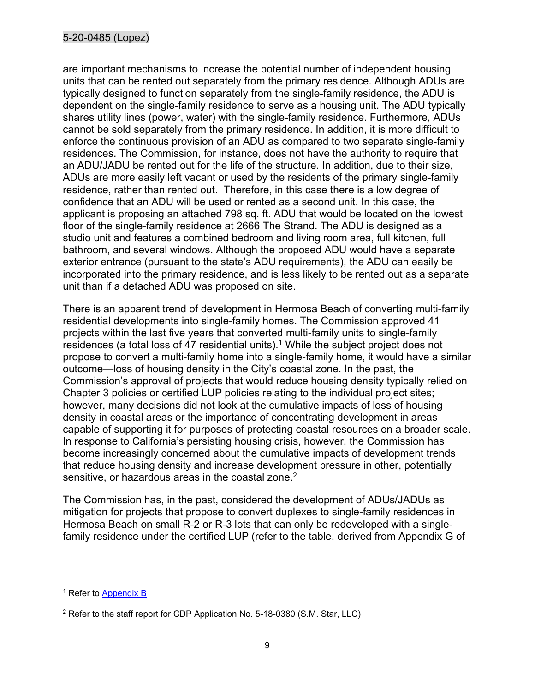are important mechanisms to increase the potential number of independent housing units that can be rented out separately from the primary residence. Although ADUs are typically designed to function separately from the single-family residence, the ADU is dependent on the single-family residence to serve as a housing unit. The ADU typically shares utility lines (power, water) with the single-family residence. Furthermore, ADUs cannot be sold separately from the primary residence. In addition, it is more difficult to enforce the continuous provision of an ADU as compared to two separate single-family residences. The Commission, for instance, does not have the authority to require that an ADU/JADU be rented out for the life of the structure. In addition, due to their size, ADUs are more easily left vacant or used by the residents of the primary single-family residence, rather than rented out. Therefore, in this case there is a low degree of confidence that an ADU will be used or rented as a second unit. In this case, the applicant is proposing an attached 798 sq. ft. ADU that would be located on the lowest floor of the single-family residence at 2666 The Strand. The ADU is designed as a studio unit and features a combined bedroom and living room area, full kitchen, full bathroom, and several windows. Although the proposed ADU would have a separate exterior entrance (pursuant to the state's ADU requirements), the ADU can easily be incorporated into the primary residence, and is less likely to be rented out as a separate unit than if a detached ADU was proposed on site.

There is an apparent trend of development in Hermosa Beach of converting multi-family residential developments into single-family homes. The Commission approved 41 projects within the last five years that converted multi-family units to single-family residences (a total loss of 47 residential units).<sup>1</sup> While the subject project does not propose to convert a multi-family home into a single-family home, it would have a similar outcome—loss of housing density in the City's coastal zone. In the past, the Commission's approval of projects that would reduce housing density typically relied on Chapter 3 policies or certified LUP policies relating to the individual project sites; however, many decisions did not look at the cumulative impacts of loss of housing density in coastal areas or the importance of concentrating development in areas capable of supporting it for purposes of protecting coastal resources on a broader scale. In response to California's persisting housing crisis, however, the Commission has become increasingly concerned about the cumulative impacts of development trends that reduce housing density and increase development pressure in other, potentially sensitive, or hazardous areas in the coastal zone.<sup>2</sup>

The Commission has, in the past, considered the development of ADUs/JADUs as mitigation for projects that propose to convert duplexes to single-family residences in Hermosa Beach on small R-2 or R-3 lots that can only be redeveloped with a singlefamily residence under the certified LUP (refer to the table, derived from Appendix G of

<sup>&</sup>lt;sup>1</sup> Refer to Appendix B

 $2$  Refer to the staff report for CDP Application No. 5-18-0380 (S.M. Star, LLC)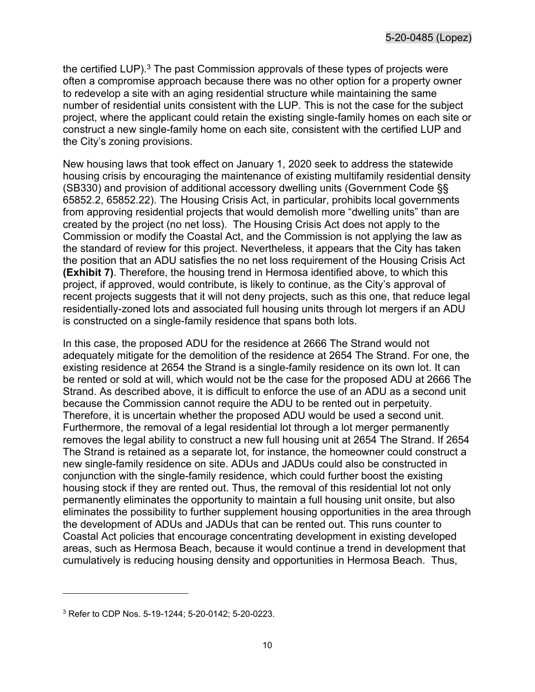the certified LUP.<sup>3</sup> The past Commission approvals of these types of projects were often a compromise approach because there was no other option for a property owner to redevelop a site with an aging residential structure while maintaining the same number of residential units consistent with the LUP. This is not the case for the subject project, where the applicant could retain the existing single-family homes on each site or construct a new single-family home on each site, consistent with the certified LUP and the City's zoning provisions.

New housing laws that took effect on January 1, 2020 seek to address the statewide housing crisis by encouraging the maintenance of existing multifamily residential density (SB330) and provision of additional accessory dwelling units (Government Code §§ 65852.2, 65852.22). The Housing Crisis Act, in particular, prohibits local governments from approving residential projects that would demolish more "dwelling units" than are created by the project (no net loss). The Housing Crisis Act does not apply to the Commission or modify the Coastal Act, and the Commission is not applying the law as the standard of review for this project. Nevertheless, it appears that the City has taken the position that an ADU satisfies the no net loss requirement of the Housing Crisis Act **(Exhibit 7)**. Therefore, the housing trend in Hermosa identified above, to which this project, if approved, would contribute, is likely to continue, as the City's approval of recent projects suggests that it will not deny projects, such as this one, that reduce legal residentially-zoned lots and associated full housing units through lot mergers if an ADU is constructed on a single-family residence that spans both lots.

In this case, the proposed ADU for the residence at 2666 The Strand would not adequately mitigate for the demolition of the residence at 2654 The Strand. For one, the existing residence at 2654 the Strand is a single-family residence on its own lot. It can be rented or sold at will, which would not be the case for the proposed ADU at 2666 The Strand. As described above, it is difficult to enforce the use of an ADU as a second unit because the Commission cannot require the ADU to be rented out in perpetuity. Therefore, it is uncertain whether the proposed ADU would be used a second unit. Furthermore, the removal of a legal residential lot through a lot merger permanently removes the legal ability to construct a new full housing unit at 2654 The Strand. If 2654 The Strand is retained as a separate lot, for instance, the homeowner could construct a new single-family residence on site. ADUs and JADUs could also be constructed in conjunction with the single-family residence, which could further boost the existing housing stock if they are rented out. Thus, the removal of this residential lot not only permanently eliminates the opportunity to maintain a full housing unit onsite, but also eliminates the possibility to further supplement housing opportunities in the area through the development of ADUs and JADUs that can be rented out. This runs counter to Coastal Act policies that encourage concentrating development in existing developed areas, such as Hermosa Beach, because it would continue a trend in development that cumulatively is reducing housing density and opportunities in Hermosa Beach. Thus,

<sup>3</sup> Refer to CDP Nos. 5-19-1244; 5-20-0142; 5-20-0223.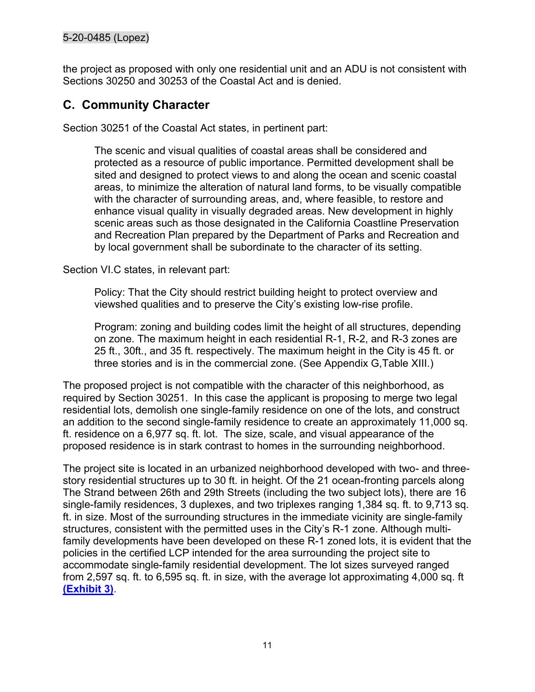the project as proposed with only one residential unit and an ADU is not consistent with Sections 30250 and 30253 of the Coastal Act and is denied.

## <span id="page-10-0"></span>**C. Community Character**

Section 30251 of the Coastal Act states, in pertinent part:

The scenic and visual qualities of coastal areas shall be considered and protected as a resource of public importance. Permitted development shall be sited and designed to protect views to and along the ocean and scenic coastal areas, to minimize the alteration of natural land forms, to be visually compatible with the character of surrounding areas, and, where feasible, to restore and enhance visual quality in visually degraded areas. New development in highly scenic areas such as those designated in the California Coastline Preservation and Recreation Plan prepared by the Department of Parks and Recreation and by local government shall be subordinate to the character of its setting.

Section VI.C states, in relevant part:

Policy: That the City should restrict building height to protect overview and viewshed qualities and to preserve the City's existing low-rise profile.

Program: zoning and building codes limit the height of all structures, depending on zone. The maximum height in each residential R-1, R-2, and R-3 zones are 25 ft., 30ft., and 35 ft. respectively. The maximum height in the City is 45 ft. or three stories and is in the commercial zone. (See Appendix G,Table XIII.)

The proposed project is not compatible with the character of this neighborhood, as required by Section 30251. In this case the applicant is proposing to merge two legal residential lots, demolish one single-family residence on one of the lots, and construct an addition to the second single-family residence to create an approximately 11,000 sq. ft. residence on a 6,977 sq. ft. lot. The size, scale, and visual appearance of the proposed residence is in stark contrast to homes in the surrounding neighborhood.

The project site is located in an urbanized neighborhood developed with two- and threestory residential structures up to 30 ft. in height. Of the 21 ocean-fronting parcels along The Strand between 26th and 29th Streets (including the two subject lots), there are 16 single-family residences, 3 duplexes, and two triplexes ranging 1,384 sq. ft. to 9,713 sq. ft. in size. Most of the surrounding structures in the immediate vicinity are single-family structures, consistent with the permitted uses in the City's R-1 zone. Although multifamily developments have been developed on these R-1 zoned lots, it is evident that the policies in the certified LCP intended for the area surrounding the project site to accommodate single-family residential development. The lot sizes surveyed ranged from 2,597 sq. ft. to 6,595 sq. ft. in size, with the average lot approximating 4,000 sq. ft **[\(Exhibit 3\)](https://documents.coastal.ca.gov/reports/2021/3/Th13b/Th13b-3-2021-exhibits.pdf)**.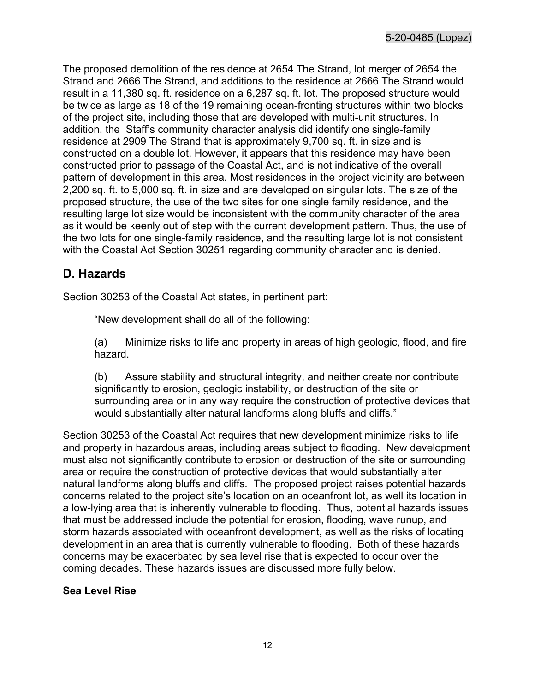The proposed demolition of the residence at 2654 The Strand, lot merger of 2654 the Strand and 2666 The Strand, and additions to the residence at 2666 The Strand would result in a 11,380 sq. ft. residence on a 6,287 sq. ft. lot. The proposed structure would be twice as large as 18 of the 19 remaining ocean-fronting structures within two blocks of the project site, including those that are developed with multi-unit structures. In addition, the Staff's community character analysis did identify one single-family residence at 2909 The Strand that is approximately 9,700 sq. ft. in size and is constructed on a double lot. However, it appears that this residence may have been constructed prior to passage of the Coastal Act, and is not indicative of the overall pattern of development in this area. Most residences in the project vicinity are between 2,200 sq. ft. to 5,000 sq. ft. in size and are developed on singular lots. The size of the proposed structure, the use of the two sites for one single family residence, and the resulting large lot size would be inconsistent with the community character of the area as it would be keenly out of step with the current development pattern. Thus, the use of the two lots for one single-family residence, and the resulting large lot is not consistent with the Coastal Act Section 30251 regarding community character and is denied.

## <span id="page-11-0"></span>**D. Hazards**

Section 30253 of the Coastal Act states, in pertinent part:

"New development shall do all of the following:

(a) Minimize risks to life and property in areas of high geologic, flood, and fire hazard.

(b) Assure stability and structural integrity, and neither create nor contribute significantly to erosion, geologic instability, or destruction of the site or surrounding area or in any way require the construction of protective devices that would substantially alter natural landforms along bluffs and cliffs."

Section 30253 of the Coastal Act requires that new development minimize risks to life and property in hazardous areas, including areas subject to flooding. New development must also not significantly contribute to erosion or destruction of the site or surrounding area or require the construction of protective devices that would substantially alter natural landforms along bluffs and cliffs. The proposed project raises potential hazards concerns related to the project site's location on an oceanfront lot, as well its location in a low-lying area that is inherently vulnerable to flooding. Thus, potential hazards issues that must be addressed include the potential for erosion, flooding, wave runup, and storm hazards associated with oceanfront development, as well as the risks of locating development in an area that is currently vulnerable to flooding. Both of these hazards concerns may be exacerbated by sea level rise that is expected to occur over the coming decades. These hazards issues are discussed more fully below.

#### **Sea Level Rise**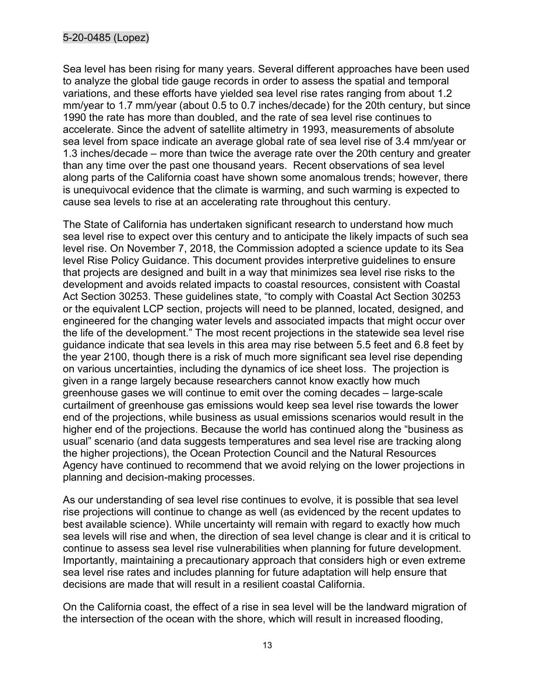#### 5-20-0485 (Lopez)

Sea level has been rising for many years. Several different approaches have been used to analyze the global tide gauge records in order to assess the spatial and temporal variations, and these efforts have yielded sea level rise rates ranging from about 1.2 mm/year to 1.7 mm/year (about 0.5 to 0.7 inches/decade) for the 20th century, but since 1990 the rate has more than doubled, and the rate of sea level rise continues to accelerate. Since the advent of satellite altimetry in 1993, measurements of absolute sea level from space indicate an average global rate of sea level rise of 3.4 mm/year or 1.3 inches/decade – more than twice the average rate over the 20th century and greater than any time over the past one thousand years. Recent observations of sea level along parts of the California coast have shown some anomalous trends; however, there is unequivocal evidence that the climate is warming, and such warming is expected to cause sea levels to rise at an accelerating rate throughout this century.

The State of California has undertaken significant research to understand how much sea level rise to expect over this century and to anticipate the likely impacts of such sea level rise. On November 7, 2018, the Commission adopted a science update to its Sea level Rise Policy Guidance. This document provides interpretive guidelines to ensure that projects are designed and built in a way that minimizes sea level rise risks to the development and avoids related impacts to coastal resources, consistent with Coastal Act Section 30253. These guidelines state, "to comply with Coastal Act Section 30253 or the equivalent LCP section, projects will need to be planned, located, designed, and engineered for the changing water levels and associated impacts that might occur over the life of the development." The most recent projections in the statewide sea level rise guidance indicate that sea levels in this area may rise between 5.5 feet and 6.8 feet by the year 2100, though there is a risk of much more significant sea level rise depending on various uncertainties, including the dynamics of ice sheet loss. The projection is given in a range largely because researchers cannot know exactly how much greenhouse gases we will continue to emit over the coming decades – large-scale curtailment of greenhouse gas emissions would keep sea level rise towards the lower end of the projections, while business as usual emissions scenarios would result in the higher end of the projections. Because the world has continued along the "business as usual" scenario (and data suggests temperatures and sea level rise are tracking along the higher projections), the Ocean Protection Council and the Natural Resources Agency have continued to recommend that we avoid relying on the lower projections in planning and decision-making processes.

As our understanding of sea level rise continues to evolve, it is possible that sea level rise projections will continue to change as well (as evidenced by the recent updates to best available science). While uncertainty will remain with regard to exactly how much sea levels will rise and when, the direction of sea level change is clear and it is critical to continue to assess sea level rise vulnerabilities when planning for future development. Importantly, maintaining a precautionary approach that considers high or even extreme sea level rise rates and includes planning for future adaptation will help ensure that decisions are made that will result in a resilient coastal California.

On the California coast, the effect of a rise in sea level will be the landward migration of the intersection of the ocean with the shore, which will result in increased flooding,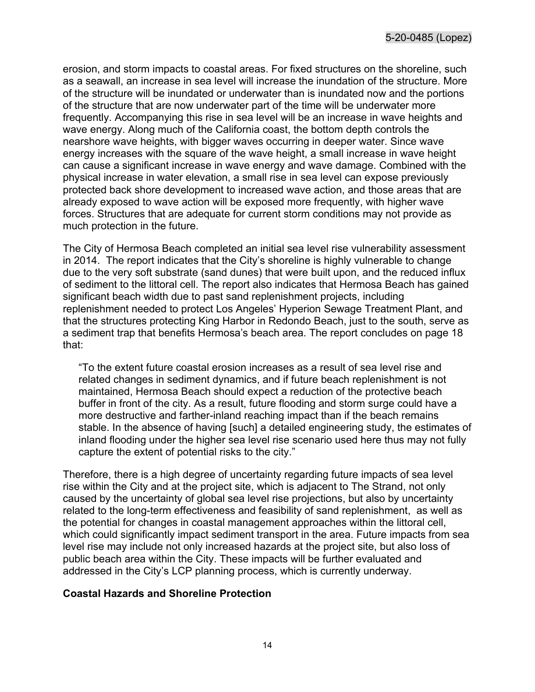erosion, and storm impacts to coastal areas. For fixed structures on the shoreline, such as a seawall, an increase in sea level will increase the inundation of the structure. More of the structure will be inundated or underwater than is inundated now and the portions of the structure that are now underwater part of the time will be underwater more frequently. Accompanying this rise in sea level will be an increase in wave heights and wave energy. Along much of the California coast, the bottom depth controls the nearshore wave heights, with bigger waves occurring in deeper water. Since wave energy increases with the square of the wave height, a small increase in wave height can cause a significant increase in wave energy and wave damage. Combined with the physical increase in water elevation, a small rise in sea level can expose previously protected back shore development to increased wave action, and those areas that are already exposed to wave action will be exposed more frequently, with higher wave forces. Structures that are adequate for current storm conditions may not provide as much protection in the future.

The City of Hermosa Beach completed an initial sea level rise vulnerability assessment in 2014. The report indicates that the City's shoreline is highly vulnerable to change due to the very soft substrate (sand dunes) that were built upon, and the reduced influx of sediment to the littoral cell. The report also indicates that Hermosa Beach has gained significant beach width due to past sand replenishment projects, including replenishment needed to protect Los Angeles' Hyperion Sewage Treatment Plant, and that the structures protecting King Harbor in Redondo Beach, just to the south, serve as a sediment trap that benefits Hermosa's beach area. The report concludes on page 18 that:

"To the extent future coastal erosion increases as a result of sea level rise and related changes in sediment dynamics, and if future beach replenishment is not maintained, Hermosa Beach should expect a reduction of the protective beach buffer in front of the city. As a result, future flooding and storm surge could have a more destructive and farther-inland reaching impact than if the beach remains stable. In the absence of having [such] a detailed engineering study, the estimates of inland flooding under the higher sea level rise scenario used here thus may not fully capture the extent of potential risks to the city."

Therefore, there is a high degree of uncertainty regarding future impacts of sea level rise within the City and at the project site, which is adjacent to The Strand, not only caused by the uncertainty of global sea level rise projections, but also by uncertainty related to the long-term effectiveness and feasibility of sand replenishment, as well as the potential for changes in coastal management approaches within the littoral cell, which could significantly impact sediment transport in the area. Future impacts from sea level rise may include not only increased hazards at the project site, but also loss of public beach area within the City. These impacts will be further evaluated and addressed in the City's LCP planning process, which is currently underway.

#### **Coastal Hazards and Shoreline Protection**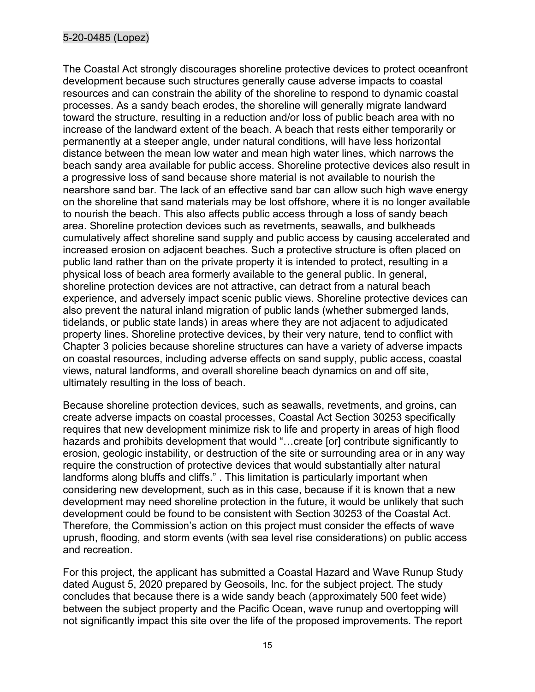#### 5-20-0485 (Lopez)

The Coastal Act strongly discourages shoreline protective devices to protect oceanfront development because such structures generally cause adverse impacts to coastal resources and can constrain the ability of the shoreline to respond to dynamic coastal processes. As a sandy beach erodes, the shoreline will generally migrate landward toward the structure, resulting in a reduction and/or loss of public beach area with no increase of the landward extent of the beach. A beach that rests either temporarily or permanently at a steeper angle, under natural conditions, will have less horizontal distance between the mean low water and mean high water lines, which narrows the beach sandy area available for public access. Shoreline protective devices also result in a progressive loss of sand because shore material is not available to nourish the nearshore sand bar. The lack of an effective sand bar can allow such high wave energy on the shoreline that sand materials may be lost offshore, where it is no longer available to nourish the beach. This also affects public access through a loss of sandy beach area. Shoreline protection devices such as revetments, seawalls, and bulkheads cumulatively affect shoreline sand supply and public access by causing accelerated and increased erosion on adjacent beaches. Such a protective structure is often placed on public land rather than on the private property it is intended to protect, resulting in a physical loss of beach area formerly available to the general public. In general, shoreline protection devices are not attractive, can detract from a natural beach experience, and adversely impact scenic public views. Shoreline protective devices can also prevent the natural inland migration of public lands (whether submerged lands, tidelands, or public state lands) in areas where they are not adjacent to adjudicated property lines. Shoreline protective devices, by their very nature, tend to conflict with Chapter 3 policies because shoreline structures can have a variety of adverse impacts on coastal resources, including adverse effects on sand supply, public access, coastal views, natural landforms, and overall shoreline beach dynamics on and off site, ultimately resulting in the loss of beach.

Because shoreline protection devices, such as seawalls, revetments, and groins, can create adverse impacts on coastal processes, Coastal Act Section 30253 specifically requires that new development minimize risk to life and property in areas of high flood hazards and prohibits development that would "...create [or] contribute significantly to erosion, geologic instability, or destruction of the site or surrounding area or in any way require the construction of protective devices that would substantially alter natural landforms along bluffs and cliffs." . This limitation is particularly important when considering new development, such as in this case, because if it is known that a new development may need shoreline protection in the future, it would be unlikely that such development could be found to be consistent with Section 30253 of the Coastal Act. Therefore, the Commission's action on this project must consider the effects of wave uprush, flooding, and storm events (with sea level rise considerations) on public access and recreation.

For this project, the applicant has submitted a Coastal Hazard and Wave Runup Study dated August 5, 2020 prepared by Geosoils, Inc. for the subject project. The study concludes that because there is a wide sandy beach (approximately 500 feet wide) between the subject property and the Pacific Ocean, wave runup and overtopping will not significantly impact this site over the life of the proposed improvements. The report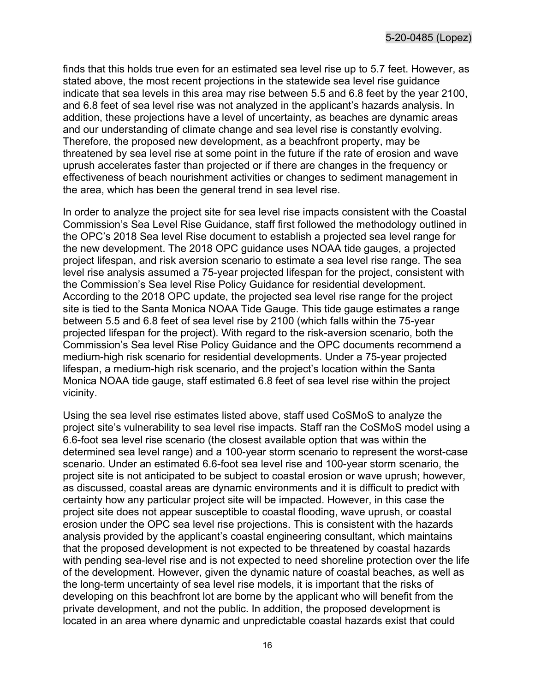finds that this holds true even for an estimated sea level rise up to 5.7 feet. However, as stated above, the most recent projections in the statewide sea level rise guidance indicate that sea levels in this area may rise between 5.5 and 6.8 feet by the year 2100, and 6.8 feet of sea level rise was not analyzed in the applicant's hazards analysis. In addition, these projections have a level of uncertainty, as beaches are dynamic areas and our understanding of climate change and sea level rise is constantly evolving. Therefore, the proposed new development, as a beachfront property, may be threatened by sea level rise at some point in the future if the rate of erosion and wave uprush accelerates faster than projected or if there are changes in the frequency or effectiveness of beach nourishment activities or changes to sediment management in the area, which has been the general trend in sea level rise.

In order to analyze the project site for sea level rise impacts consistent with the Coastal Commission's Sea Level Rise Guidance, staff first followed the methodology outlined in the OPC's 2018 Sea level Rise document to establish a projected sea level range for the new development. The 2018 OPC guidance uses NOAA tide gauges, a projected project lifespan, and risk aversion scenario to estimate a sea level rise range. The sea level rise analysis assumed a 75-year projected lifespan for the project, consistent with the Commission's Sea level Rise Policy Guidance for residential development. According to the 2018 OPC update, the projected sea level rise range for the project site is tied to the Santa Monica NOAA Tide Gauge. This tide gauge estimates a range between 5.5 and 6.8 feet of sea level rise by 2100 (which falls within the 75-year projected lifespan for the project). With regard to the risk-aversion scenario, both the Commission's Sea level Rise Policy Guidance and the OPC documents recommend a medium-high risk scenario for residential developments. Under a 75-year projected lifespan, a medium-high risk scenario, and the project's location within the Santa Monica NOAA tide gauge, staff estimated 6.8 feet of sea level rise within the project vicinity.

Using the sea level rise estimates listed above, staff used CoSMoS to analyze the project site's vulnerability to sea level rise impacts. Staff ran the CoSMoS model using a 6.6-foot sea level rise scenario (the closest available option that was within the determined sea level range) and a 100-year storm scenario to represent the worst-case scenario. Under an estimated 6.6-foot sea level rise and 100-year storm scenario, the project site is not anticipated to be subject to coastal erosion or wave uprush; however, as discussed, coastal areas are dynamic environments and it is difficult to predict with certainty how any particular project site will be impacted. However, in this case the project site does not appear susceptible to coastal flooding, wave uprush, or coastal erosion under the OPC sea level rise projections. This is consistent with the hazards analysis provided by the applicant's coastal engineering consultant, which maintains that the proposed development is not expected to be threatened by coastal hazards with pending sea-level rise and is not expected to need shoreline protection over the life of the development. However, given the dynamic nature of coastal beaches, as well as the long-term uncertainty of sea level rise models, it is important that the risks of developing on this beachfront lot are borne by the applicant who will benefit from the private development, and not the public. In addition, the proposed development is located in an area where dynamic and unpredictable coastal hazards exist that could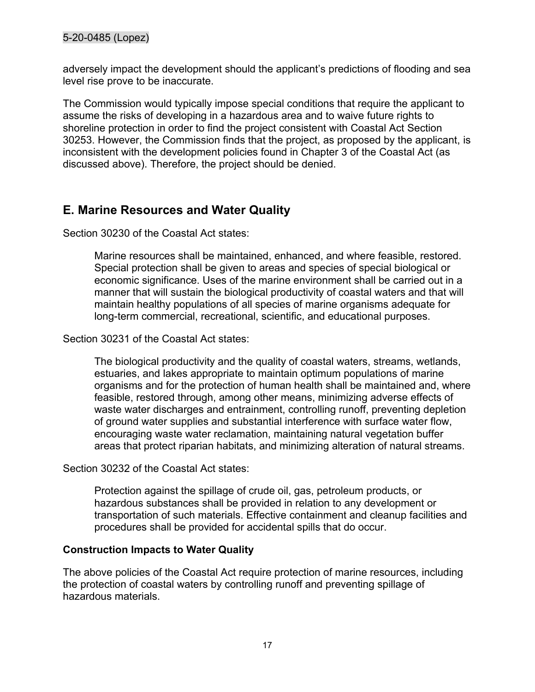adversely impact the development should the applicant's predictions of flooding and sea level rise prove to be inaccurate.

The Commission would typically impose special conditions that require the applicant to assume the risks of developing in a hazardous area and to waive future rights to shoreline protection in order to find the project consistent with Coastal Act Section 30253. However, the Commission finds that the project, as proposed by the applicant, is inconsistent with the development policies found in Chapter 3 of the Coastal Act (as discussed above). Therefore, the project should be denied.

## <span id="page-16-0"></span>**E. Marine Resources and Water Quality**

Section 30230 of the Coastal Act states:

Marine resources shall be maintained, enhanced, and where feasible, restored. Special protection shall be given to areas and species of special biological or economic significance. Uses of the marine environment shall be carried out in a manner that will sustain the biological productivity of coastal waters and that will maintain healthy populations of all species of marine organisms adequate for long-term commercial, recreational, scientific, and educational purposes.

Section 30231 of the Coastal Act states:

The biological productivity and the quality of coastal waters, streams, wetlands, estuaries, and lakes appropriate to maintain optimum populations of marine organisms and for the protection of human health shall be maintained and, where feasible, restored through, among other means, minimizing adverse effects of waste water discharges and entrainment, controlling runoff, preventing depletion of ground water supplies and substantial interference with surface water flow, encouraging waste water reclamation, maintaining natural vegetation buffer areas that protect riparian habitats, and minimizing alteration of natural streams.

Section 30232 of the Coastal Act states:

Protection against the spillage of crude oil, gas, petroleum products, or hazardous substances shall be provided in relation to any development or transportation of such materials. Effective containment and cleanup facilities and procedures shall be provided for accidental spills that do occur.

#### **Construction Impacts to Water Quality**

The above policies of the Coastal Act require protection of marine resources, including the protection of coastal waters by controlling runoff and preventing spillage of hazardous materials.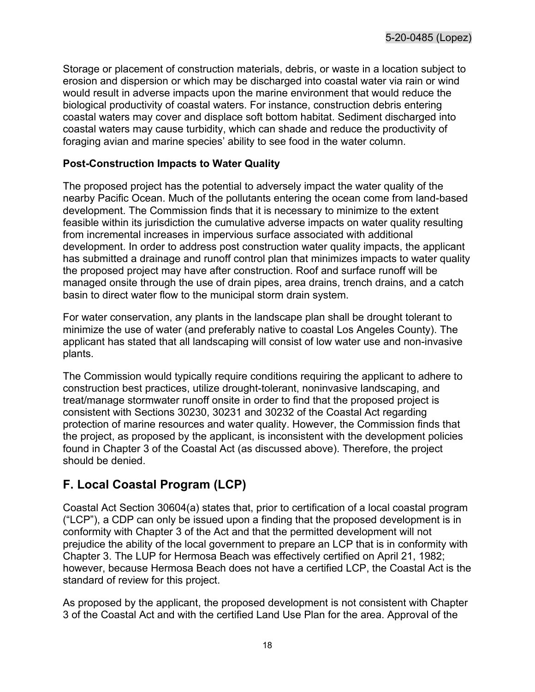Storage or placement of construction materials, debris, or waste in a location subject to erosion and dispersion or which may be discharged into coastal water via rain or wind would result in adverse impacts upon the marine environment that would reduce the biological productivity of coastal waters. For instance, construction debris entering coastal waters may cover and displace soft bottom habitat. Sediment discharged into coastal waters may cause turbidity, which can shade and reduce the productivity of foraging avian and marine species' ability to see food in the water column.

#### **Post-Construction Impacts to Water Quality**

The proposed project has the potential to adversely impact the water quality of the nearby Pacific Ocean. Much of the pollutants entering the ocean come from land-based development. The Commission finds that it is necessary to minimize to the extent feasible within its jurisdiction the cumulative adverse impacts on water quality resulting from incremental increases in impervious surface associated with additional development. In order to address post construction water quality impacts, the applicant has submitted a drainage and runoff control plan that minimizes impacts to water quality the proposed project may have after construction. Roof and surface runoff will be managed onsite through the use of drain pipes, area drains, trench drains, and a catch basin to direct water flow to the municipal storm drain system.

For water conservation, any plants in the landscape plan shall be drought tolerant to minimize the use of water (and preferably native to coastal Los Angeles County). The applicant has stated that all landscaping will consist of low water use and non-invasive plants.

The Commission would typically require conditions requiring the applicant to adhere to construction best practices, utilize drought-tolerant, noninvasive landscaping, and treat/manage stormwater runoff onsite in order to find that the proposed project is consistent with Sections 30230, 30231 and 30232 of the Coastal Act regarding protection of marine resources and water quality. However, the Commission finds that the project, as proposed by the applicant, is inconsistent with the development policies found in Chapter 3 of the Coastal Act (as discussed above). Therefore, the project should be denied.

## <span id="page-17-0"></span>**F. Local Coastal Program (LCP)**

Coastal Act Section 30604(a) states that, prior to certification of a local coastal program ("LCP"), a CDP can only be issued upon a finding that the proposed development is in conformity with Chapter 3 of the Act and that the permitted development will not prejudice the ability of the local government to prepare an LCP that is in conformity with Chapter 3. The LUP for Hermosa Beach was effectively certified on April 21, 1982; however, because Hermosa Beach does not have a certified LCP, the Coastal Act is the standard of review for this project.

As proposed by the applicant, the proposed development is not consistent with Chapter 3 of the Coastal Act and with the certified Land Use Plan for the area. Approval of the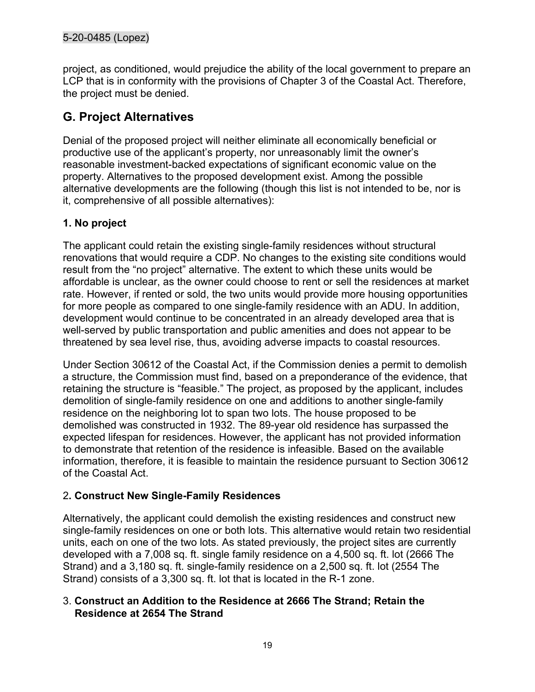project, as conditioned, would prejudice the ability of the local government to prepare an LCP that is in conformity with the provisions of Chapter 3 of the Coastal Act. Therefore, the project must be denied.

## <span id="page-18-0"></span>**G. Project Alternatives**

Denial of the proposed project will neither eliminate all economically beneficial or productive use of the applicant's property, nor unreasonably limit the owner's reasonable investment-backed expectations of significant economic value on the property. Alternatives to the proposed development exist. Among the possible alternative developments are the following (though this list is not intended to be, nor is it, comprehensive of all possible alternatives):

#### **1. No project**

The applicant could retain the existing single-family residences without structural renovations that would require a CDP. No changes to the existing site conditions would result from the "no project" alternative. The extent to which these units would be affordable is unclear, as the owner could choose to rent or sell the residences at market rate. However, if rented or sold, the two units would provide more housing opportunities for more people as compared to one single-family residence with an ADU. In addition, development would continue to be concentrated in an already developed area that is well-served by public transportation and public amenities and does not appear to be threatened by sea level rise, thus, avoiding adverse impacts to coastal resources.

Under Section 30612 of the Coastal Act, if the Commission denies a permit to demolish a structure, the Commission must find, based on a preponderance of the evidence, that retaining the structure is "feasible." The project, as proposed by the applicant, includes demolition of single-family residence on one and additions to another single-family residence on the neighboring lot to span two lots. The house proposed to be demolished was constructed in 1932. The 89-year old residence has surpassed the expected lifespan for residences. However, the applicant has not provided information to demonstrate that retention of the residence is infeasible. Based on the available information, therefore, it is feasible to maintain the residence pursuant to Section 30612 of the Coastal Act.

#### 2**. Construct New Single-Family Residences**

Alternatively, the applicant could demolish the existing residences and construct new single-family residences on one or both lots. This alternative would retain two residential units, each on one of the two lots. As stated previously, the project sites are currently developed with a 7,008 sq. ft. single family residence on a 4,500 sq. ft. lot (2666 The Strand) and a 3,180 sq. ft. single-family residence on a 2,500 sq. ft. lot (2554 The Strand) consists of a 3,300 sq. ft. lot that is located in the R-1 zone.

#### 3. **Construct an Addition to the Residence at 2666 The Strand; Retain the Residence at 2654 The Strand**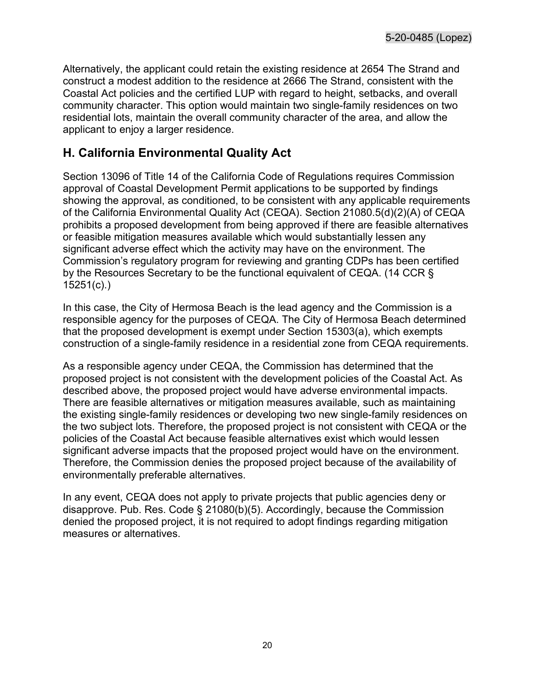Alternatively, the applicant could retain the existing residence at 2654 The Strand and construct a modest addition to the residence at 2666 The Strand, consistent with the Coastal Act policies and the certified LUP with regard to height, setbacks, and overall community character. This option would maintain two single-family residences on two residential lots, maintain the overall community character of the area, and allow the applicant to enjoy a larger residence.

### <span id="page-19-0"></span>**H. California Environmental Quality Act**

Section 13096 of Title 14 of the California Code of Regulations requires Commission approval of Coastal Development Permit applications to be supported by findings showing the approval, as conditioned, to be consistent with any applicable requirements of the California Environmental Quality Act (CEQA). Section 21080.5(d)(2)(A) of CEQA prohibits a proposed development from being approved if there are feasible alternatives or feasible mitigation measures available which would substantially lessen any significant adverse effect which the activity may have on the environment. The Commission's regulatory program for reviewing and granting CDPs has been certified by the Resources Secretary to be the functional equivalent of CEQA. (14 CCR § 15251(c).)

In this case, the City of Hermosa Beach is the lead agency and the Commission is a responsible agency for the purposes of CEQA. The City of Hermosa Beach determined that the proposed development is exempt under Section 15303(a), which exempts construction of a single-family residence in a residential zone from CEQA requirements.

As a responsible agency under CEQA, the Commission has determined that the proposed project is not consistent with the development policies of the Coastal Act. As described above, the proposed project would have adverse environmental impacts. There are feasible alternatives or mitigation measures available, such as maintaining the existing single-family residences or developing two new single-family residences on the two subject lots. Therefore, the proposed project is not consistent with CEQA or the policies of the Coastal Act because feasible alternatives exist which would lessen significant adverse impacts that the proposed project would have on the environment. Therefore, the Commission denies the proposed project because of the availability of environmentally preferable alternatives.

In any event, CEQA does not apply to private projects that public agencies deny or disapprove. Pub. Res. Code § 21080(b)(5). Accordingly, because the Commission denied the proposed project, it is not required to adopt findings regarding mitigation measures or alternatives.